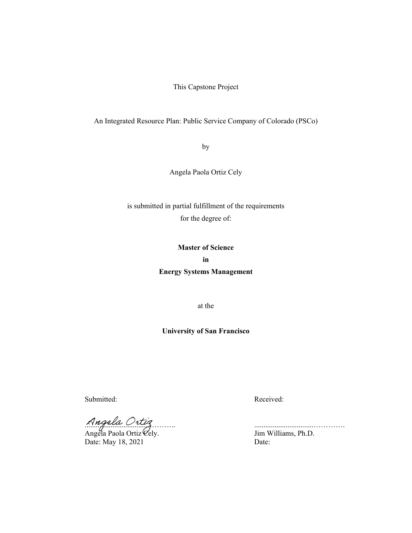This Capstone Project

## An Integrated Resource Plan: Public Service Company of Colorado (PSCo)

by

Angela Paola Ortiz Cely

is submitted in partial fulfillment of the requirements for the degree of:

# **Master of Science in**

**Energy Systems Management**

at the

# **University of San Francisco**

Submitted: Received:

 $\lambda$ 

Angela Paola Ortiz $\mathscr{C}\text{ely.}$  Jim Williams, Ph.D. Date: May 18, 2021 Date: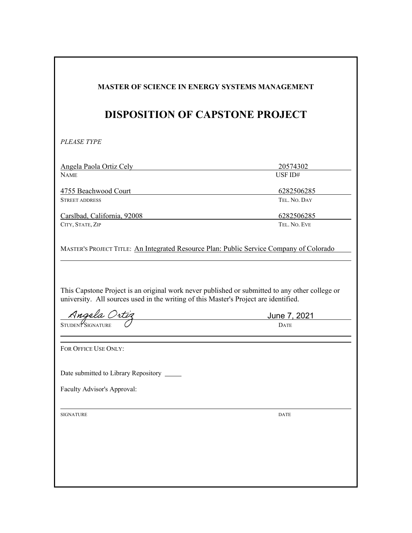| 20574302<br>USF ID#<br>6282506285<br>TEL. NO. DAY<br>Carslbad, California, 92008<br>6282506285<br>TEL, NO. EVE<br>MASTER'S PROJECT TITLE: An Integrated Resource Plan: Public Service Company of Colorado<br>This Capstone Project is an original work never published or submitted to any other college or<br>university. All sources used in the writing of this Master's Project are identified.<br>June 7, 2021<br><b>DATE</b><br>Date submitted to Library Repository _____ |
|----------------------------------------------------------------------------------------------------------------------------------------------------------------------------------------------------------------------------------------------------------------------------------------------------------------------------------------------------------------------------------------------------------------------------------------------------------------------------------|
|                                                                                                                                                                                                                                                                                                                                                                                                                                                                                  |
|                                                                                                                                                                                                                                                                                                                                                                                                                                                                                  |
|                                                                                                                                                                                                                                                                                                                                                                                                                                                                                  |
|                                                                                                                                                                                                                                                                                                                                                                                                                                                                                  |
|                                                                                                                                                                                                                                                                                                                                                                                                                                                                                  |
|                                                                                                                                                                                                                                                                                                                                                                                                                                                                                  |
|                                                                                                                                                                                                                                                                                                                                                                                                                                                                                  |
|                                                                                                                                                                                                                                                                                                                                                                                                                                                                                  |
|                                                                                                                                                                                                                                                                                                                                                                                                                                                                                  |
|                                                                                                                                                                                                                                                                                                                                                                                                                                                                                  |
|                                                                                                                                                                                                                                                                                                                                                                                                                                                                                  |
| Faculty Advisor's Approval:                                                                                                                                                                                                                                                                                                                                                                                                                                                      |
|                                                                                                                                                                                                                                                                                                                                                                                                                                                                                  |
|                                                                                                                                                                                                                                                                                                                                                                                                                                                                                  |
|                                                                                                                                                                                                                                                                                                                                                                                                                                                                                  |